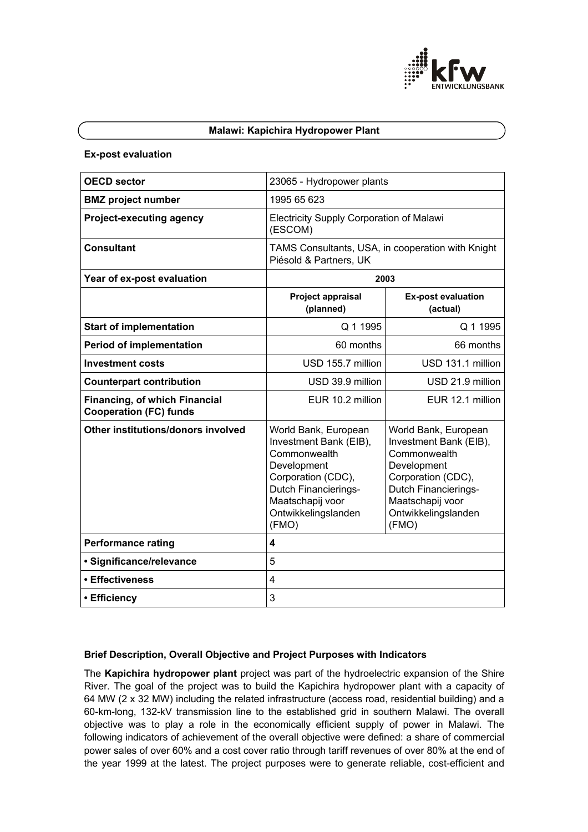

#### **Malawi: Kapichira Hydropower Plant**

#### **Ex-post evaluation**

| <b>OECD sector</b>                                                    | 23065 - Hydropower plants                                                                                                                                                              |                                                                                                                                                                                        |  |
|-----------------------------------------------------------------------|----------------------------------------------------------------------------------------------------------------------------------------------------------------------------------------|----------------------------------------------------------------------------------------------------------------------------------------------------------------------------------------|--|
|                                                                       |                                                                                                                                                                                        |                                                                                                                                                                                        |  |
| <b>BMZ</b> project number                                             | 1995 65 623                                                                                                                                                                            |                                                                                                                                                                                        |  |
| <b>Project-executing agency</b>                                       | <b>Electricity Supply Corporation of Malawi</b><br>(ESCOM)                                                                                                                             |                                                                                                                                                                                        |  |
| <b>Consultant</b>                                                     | TAMS Consultants, USA, in cooperation with Knight<br>Piésold & Partners, UK                                                                                                            |                                                                                                                                                                                        |  |
| Year of ex-post evaluation                                            | 2003                                                                                                                                                                                   |                                                                                                                                                                                        |  |
|                                                                       | Project appraisal<br>(planned)                                                                                                                                                         | <b>Ex-post evaluation</b><br>(actual)                                                                                                                                                  |  |
| <b>Start of implementation</b>                                        | Q 1 1995                                                                                                                                                                               | Q 1 1995                                                                                                                                                                               |  |
| <b>Period of implementation</b>                                       | 60 months                                                                                                                                                                              | 66 months                                                                                                                                                                              |  |
| <b>Investment costs</b>                                               | USD 155.7 million                                                                                                                                                                      | USD 131.1 million                                                                                                                                                                      |  |
| <b>Counterpart contribution</b>                                       | USD 39.9 million                                                                                                                                                                       | USD 21.9 million                                                                                                                                                                       |  |
| <b>Financing, of which Financial</b><br><b>Cooperation (FC) funds</b> | EUR 10.2 million                                                                                                                                                                       | EUR 12.1 million                                                                                                                                                                       |  |
| Other institutions/donors involved                                    | World Bank, European<br>Investment Bank (EIB),<br>Commonwealth<br>Development<br>Corporation (CDC),<br><b>Dutch Financierings-</b><br>Maatschapij voor<br>Ontwikkelingslanden<br>(FMO) | World Bank, European<br>Investment Bank (EIB),<br>Commonwealth<br>Development<br>Corporation (CDC),<br><b>Dutch Financierings-</b><br>Maatschapij voor<br>Ontwikkelingslanden<br>(FMO) |  |
| <b>Performance rating</b>                                             | 4                                                                                                                                                                                      |                                                                                                                                                                                        |  |
| • Significance/relevance                                              | 5                                                                                                                                                                                      |                                                                                                                                                                                        |  |
| • Effectiveness                                                       | 4                                                                                                                                                                                      |                                                                                                                                                                                        |  |
| • Efficiency                                                          | 3                                                                                                                                                                                      |                                                                                                                                                                                        |  |

## **Brief Description, Overall Objective and Project Purposes with Indicators**

The **Kapichira hydropower plant** project was part of the hydroelectric expansion of the Shire River. The goal of the project was to build the Kapichira hydropower plant with a capacity of 64 MW (2 x 32 MW) including the related infrastructure (access road, residential building) and a 60-km-long, 132-kV transmission line to the established grid in southern Malawi. The overall objective was to play a role in the economically efficient supply of power in Malawi. The following indicators of achievement of the overall objective were defined: a share of commercial power sales of over 60% and a cost cover ratio through tariff revenues of over 80% at the end of the year 1999 at the latest. The project purposes were to generate reliable, cost-efficient and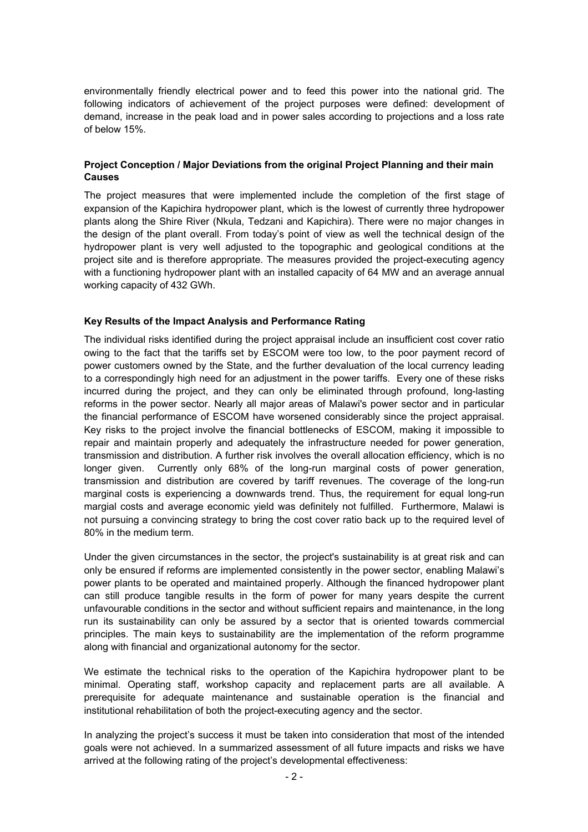environmentally friendly electrical power and to feed this power into the national grid. The following indicators of achievement of the project purposes were defined: development of demand, increase in the peak load and in power sales according to projections and a loss rate of below 15%.

## **Project Conception / Major Deviations from the original Project Planning and their main Causes**

The project measures that were implemented include the completion of the first stage of expansion of the Kapichira hydropower plant, which is the lowest of currently three hydropower plants along the Shire River (Nkula, Tedzani and Kapichira). There were no major changes in the design of the plant overall. From today's point of view as well the technical design of the hydropower plant is very well adjusted to the topographic and geological conditions at the project site and is therefore appropriate. The measures provided the project-executing agency with a functioning hydropower plant with an installed capacity of 64 MW and an average annual working capacity of 432 GWh.

## **Key Results of the Impact Analysis and Performance Rating**

The individual risks identified during the project appraisal include an insufficient cost cover ratio owing to the fact that the tariffs set by ESCOM were too low, to the poor payment record of power customers owned by the State, and the further devaluation of the local currency leading to a correspondingly high need for an adjustment in the power tariffs. Every one of these risks incurred during the project, and they can only be eliminated through profound, long-lasting reforms in the power sector. Nearly all major areas of Malawi's power sector and in particular the financial performance of ESCOM have worsened considerably since the project appraisal. Key risks to the project involve the financial bottlenecks of ESCOM, making it impossible to repair and maintain properly and adequately the infrastructure needed for power generation, transmission and distribution. A further risk involves the overall allocation efficiency, which is no longer given. Currently only 68% of the long-run marginal costs of power generation, transmission and distribution are covered by tariff revenues. The coverage of the long-run marginal costs is experiencing a downwards trend. Thus, the requirement for equal long-run margial costs and average economic yield was definitely not fulfilled. Furthermore, Malawi is not pursuing a convincing strategy to bring the cost cover ratio back up to the required level of 80% in the medium term.

Under the given circumstances in the sector, the project's sustainability is at great risk and can only be ensured if reforms are implemented consistently in the power sector, enabling Malawi's power plants to be operated and maintained properly. Although the financed hydropower plant can still produce tangible results in the form of power for many years despite the current unfavourable conditions in the sector and without sufficient repairs and maintenance, in the long run its sustainability can only be assured by a sector that is oriented towards commercial principles. The main keys to sustainability are the implementation of the reform programme along with financial and organizational autonomy for the sector.

We estimate the technical risks to the operation of the Kapichira hydropower plant to be minimal. Operating staff, workshop capacity and replacement parts are all available. A prerequisite for adequate maintenance and sustainable operation is the financial and institutional rehabilitation of both the project-executing agency and the sector.

In analyzing the project's success it must be taken into consideration that most of the intended goals were not achieved. In a summarized assessment of all future impacts and risks we have arrived at the following rating of the project's developmental effectiveness: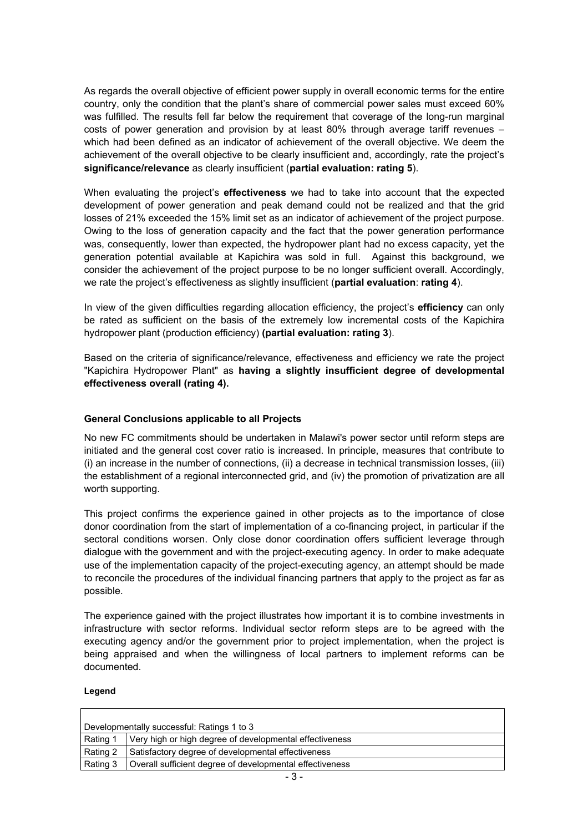As regards the overall objective of efficient power supply in overall economic terms for the entire country, only the condition that the plant's share of commercial power sales must exceed 60% was fulfilled. The results fell far below the requirement that coverage of the long-run marginal costs of power generation and provision by at least 80% through average tariff revenues – which had been defined as an indicator of achievement of the overall objective. We deem the achievement of the overall objective to be clearly insufficient and, accordingly, rate the project's **significance/relevance** as clearly insufficient (**partial evaluation: rating 5**).

When evaluating the project's **effectiveness** we had to take into account that the expected development of power generation and peak demand could not be realized and that the grid losses of 21% exceeded the 15% limit set as an indicator of achievement of the project purpose. Owing to the loss of generation capacity and the fact that the power generation performance was, consequently, lower than expected, the hydropower plant had no excess capacity, yet the generation potential available at Kapichira was sold in full. Against this background, we consider the achievement of the project purpose to be no longer sufficient overall. Accordingly, we rate the project's effectiveness as slightly insufficient (**partial evaluation**: **rating 4**).

In view of the given difficulties regarding allocation efficiency, the project's **efficiency** can only be rated as sufficient on the basis of the extremely low incremental costs of the Kapichira hydropower plant (production efficiency) **(partial evaluation: rating 3**).

Based on the criteria of significance/relevance, effectiveness and efficiency we rate the project "Kapichira Hydropower Plant" as **having a slightly insufficient degree of developmental effectiveness overall (rating 4).** 

# **General Conclusions applicable to all Projects**

No new FC commitments should be undertaken in Malawi's power sector until reform steps are initiated and the general cost cover ratio is increased. In principle, measures that contribute to (i) an increase in the number of connections, (ii) a decrease in technical transmission losses, (iii) the establishment of a regional interconnected grid, and (iv) the promotion of privatization are all worth supporting.

This project confirms the experience gained in other projects as to the importance of close donor coordination from the start of implementation of a co-financing project, in particular if the sectoral conditions worsen. Only close donor coordination offers sufficient leverage through dialogue with the government and with the project-executing agency. In order to make adequate use of the implementation capacity of the project-executing agency, an attempt should be made to reconcile the procedures of the individual financing partners that apply to the project as far as possible.

The experience gained with the project illustrates how important it is to combine investments in infrastructure with sector reforms. Individual sector reform steps are to be agreed with the executing agency and/or the government prior to project implementation, when the project is being appraised and when the willingness of local partners to implement reforms can be documented.

## **Legend**

| Developmentally successful: Ratings 1 to 3 |                                                          |  |
|--------------------------------------------|----------------------------------------------------------|--|
|                                            |                                                          |  |
| Rating 1                                   | Very high or high degree of developmental effectiveness  |  |
| Rating 2                                   | Satisfactory degree of developmental effectiveness       |  |
| Rating 3                                   | Overall sufficient degree of developmental effectiveness |  |